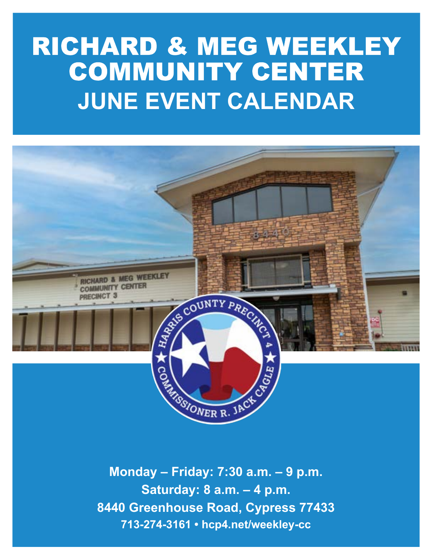# RICHARD & MEG WEEKLEY COMMUNITY CENTER **JUNE EVENT CALENDAR**



**Monday – Friday: 7:30 a.m. – 9 p.m. Saturday: 8 a.m. – 4 p.m. 8440 Greenhouse Road, Cypress 77433 713-274-3161 • hcp4.net/weekley-cc**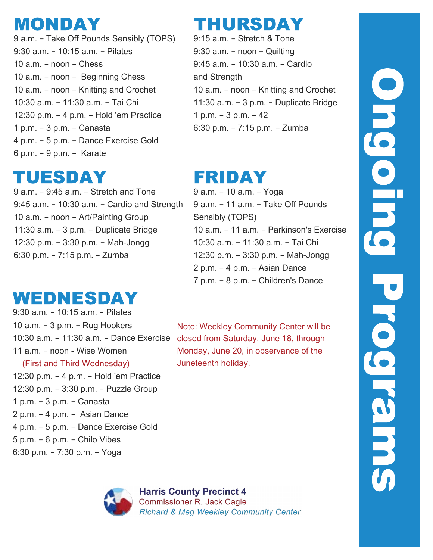## MONDAY

9 a.m. – Take Off Pounds Sensibly (TOPS) 9:30 a.m. – 10:15 a.m. – Pilates 10 a.m. – noon – Chess 10 a.m. – noon – Beginning Chess 10 a.m. – noon – Knitting and Crochet 10:30 a.m. – 11:30 a.m. – Tai Chi 12:30 p.m. – 4 p.m. – Hold 'em Practice 1 p.m. – 3 p.m. – Canasta 4 p.m. – 5 p.m. – Dance Exercise Gold 6 p.m. – 9 p.m. – Karate

# TUESDAY

9 a.m. – 9:45 a.m. – Stretch and Tone 9:45 a.m. – 10:30 a.m. – Cardio and Strength 10 a.m. – noon – Art/Painting Group 11:30 a.m. – 3 p.m. – Duplicate Bridge 12:30 p.m. – 3:30 p.m. – Mah-Jongg 6:30 p.m. – 7:15 p.m. – Zumba

# WEDNESDAY

9:30 a.m. – 10:15 a.m. – Pilates 10 a.m. – 3 p.m. – Rug Hookers 10:30 a.m. – 11:30 a.m. – Dance Exercise closed from Saturday, June 18, through 11 a.m. – noon - Wise Women (First and Third Wednesday) 12:30 p.m. – 4 p.m. – Hold 'em Practice 12:30 p.m. – 3:30 p.m. – Puzzle Group 1 p.m. – 3 p.m. – Canasta 2 p.m. – 4 p.m. – Asian Dance 4 p.m. – 5 p.m. – Dance Exercise Gold 5 p.m. – 6 p.m. – Chilo Vibes 6:30 p.m. – 7:30 p.m. – Yoga



9:15 a.m. – Stretch & Tone 9:30 a.m. – noon – Quilting 9:45 a.m. – 10:30 a.m. – Cardio and Strength 10 a.m. – noon – Knitting and Crochet 11:30 a.m. – 3 p.m. – Duplicate Bridge 1 p.m. – 3 p.m. – 42 6:30 p.m. – 7:15 p.m. – Zumba

# FRIDAY

9 a.m. – 10 a.m. – Yoga 9 a.m. – 11 a.m. – Take Off Pounds Sensibly (TOPS) 10 a.m. – 11 a.m. – Parkinson's Exercise 10:30 a.m. – 11:30 a.m. – Tai Chi 12:30 p.m. – 3:30 p.m. – Mah-Jongg 2 p.m. – 4 p.m. – Asian Dance 7 p.m. – 8 p.m. – Children's Dance

Note: Weekley Community Center will be Monday, June 20, in observance of the Juneteenth holiday.



#### **Harris County Precinct 4 Commissioner R. Jack Cagle Richard & Meg Weekley Community Center**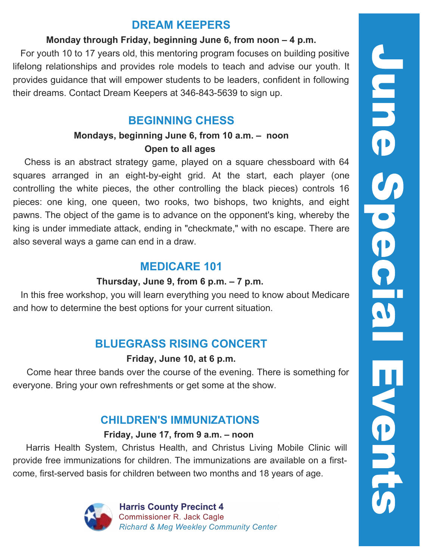#### **DREAM KEEPERS**

#### **Monday through Friday, beginning June 6, from noon – 4 p.m.**

 For youth 10 to 17 years old, this mentoring program focuses on building positive lifelong relationships and provides role models to teach and advise our youth. It provides guidance that will empower students to be leaders, confident in following their dreams. Contact Dream Keepers at 346-843-5639 to sign up.

### **BEGINNING CHESS**

#### **Mondays, beginning June 6, from 10 a.m. – noon Open to all ages**

 Chess is an abstract strategy game, played on a square chessboard with 64 squares arranged in an eight-by-eight grid. At the start, each player (one controlling the white pieces, the other controlling the black pieces) controls 16 pieces: one king, one queen, two rooks, two bishops, two knights, and eight pawns. The object of the game is to advance on the opponent's king, whereby the king is under immediate attack, ending in "[checkm](https://en.wikipedia.org/wiki/Check_(chess))ate," with no escape. There are also several ways a game can end in a draw.

### **MEDICARE 101**

#### **Thursday, June 9, from 6 p.m. – 7 p.m.**

 In this free workshop, you will learn everything you need to know about Medicare and how to determine the best options for your current situation.

### **BLUEGRASS RISING CONCERT**

#### **Friday, June 10, at 6 p.m.**

 Come hear three bands over the course of the evening. There is something for everyone. Bring your own refreshments or get some at the show.

### **CHILDREN'S IMMUNIZATIONS**

#### **Friday, June 17, from 9 a.m. – noon**

 Harris Health System, Christus Health, and Christus Living Mobile Clinic will provide free immunizations for children. The immunizations are available on a firstcome, first-served basis for children between two months and 18 years of age.



**Harris County Precinct 4 Commissioner R. Jack Cagle Richard & Meg Weekley Community Center**